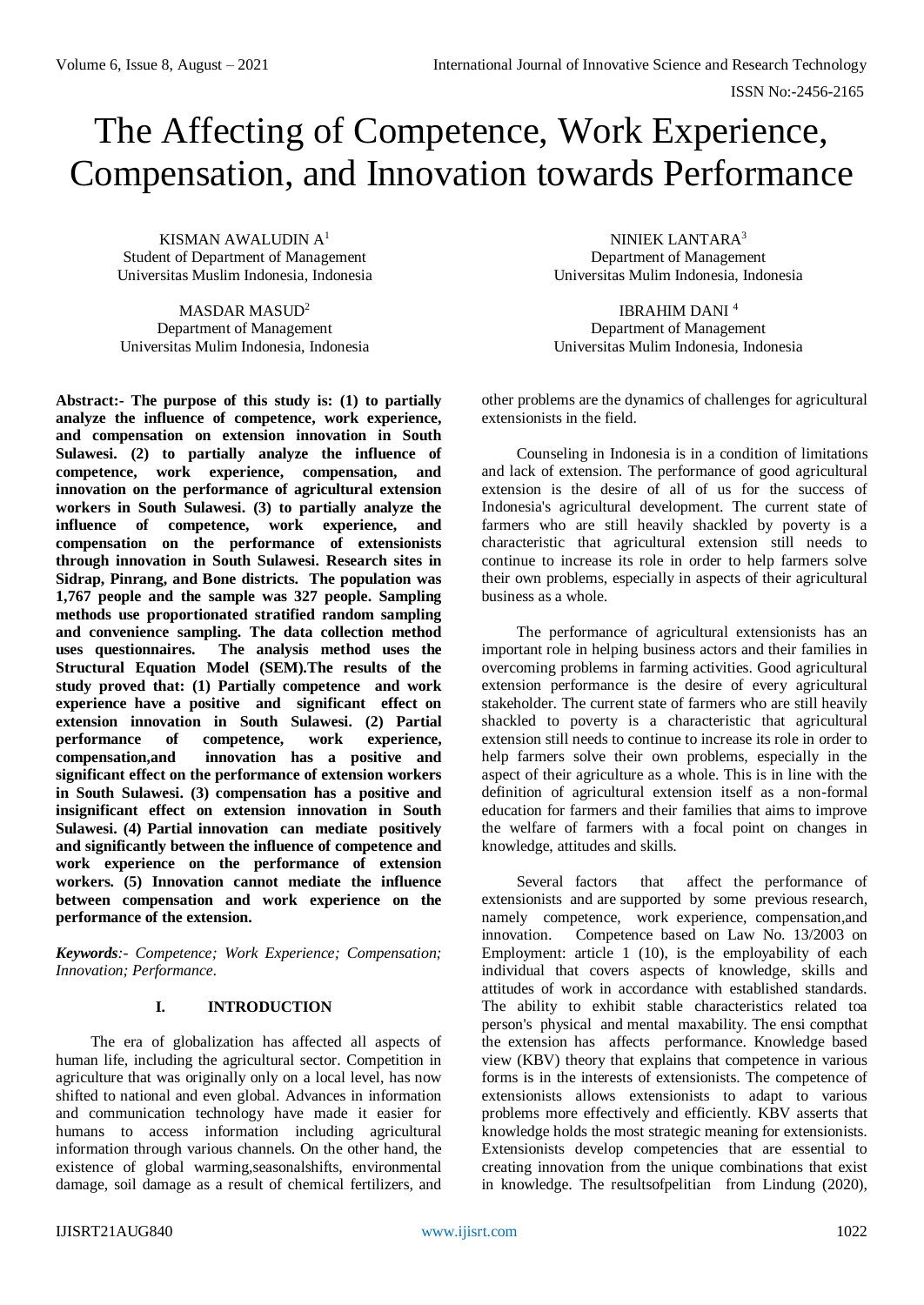# The Affecting of Competence, Work Experience, Compensation, and Innovation towards Performance

KISMAN AWALUDIN A<sup>1</sup> Student of Department of Management Universitas Muslim Indonesia, Indonesia

MASDAR MASUD<sup>2</sup> Department of Management Universitas Mulim Indonesia, Indonesia

**Abstract:- The purpose of this study is: (1) to partially analyze the influence of competence, work experience, and compensation on extension innovation in South Sulawesi. (2) to partially analyze the influence of competence, work experience, compensation, and innovation on the performance of agricultural extension workers in South Sulawesi. (3) to partially analyze the influence of competence, work experience, and compensation on the performance of extensionists through innovation in South Sulawesi. Research sites in Sidrap, Pinrang, and Bone districts. The population was 1,767 people and the sample was 327 people. Sampling methods use proportionated stratified random sampling and convenience sampling. The data collection method uses questionnaires. The analysis method uses the Structural Equation Model (SEM).The results of the study proved that: (1) Partially competence and work experience have a positive and significant effect on extension innovation in South Sulawesi. (2) Partial performance of competence, work experience, compensation,and innovation has a positive and significant effect on the performance of extension workers in South Sulawesi. (3) compensation has a positive and insignificant effect on extension innovation in South Sulawesi. (4) Partial innovation can mediate positively and significantly between the influence of competence and work experience on the performance of extension workers. (5) Innovation cannot mediate the influence between compensation and work experience on the performance of the extension.**

*Keywords:- Competence; Work Experience; Compensation; Innovation; Performance.*

# **I. INTRODUCTION**

The era of globalization has affected all aspects of human life, including the agricultural sector. Competition in agriculture that was originally only on a local level, has now shifted to national and even global. Advances in information and communication technology have made it easier for humans to access information including agricultural information through various channels. On the other hand, the existence of global warming,seasonalshifts, environmental damage, soil damage as a result of chemical fertilizers, and

NINIEK LANTARA<sup>3</sup> Department of Management Universitas Mulim Indonesia, Indonesia

IBRAHIM DANI <sup>4</sup> Department of Management Universitas Mulim Indonesia, Indonesia

other problems are the dynamics of challenges for agricultural extensionists in the field.

Counseling in Indonesia is in a condition of limitations and lack of extension. The performance of good agricultural extension is the desire of all of us for the success of Indonesia's agricultural development. The current state of farmers who are still heavily shackled by poverty is a characteristic that agricultural extension still needs to continue to increase its role in order to help farmers solve their own problems, especially in aspects of their agricultural business as a whole.

The performance of agricultural extensionists has an important role in helping business actors and their families in overcoming problems in farming activities. Good agricultural extension performance is the desire of every agricultural stakeholder. The current state of farmers who are still heavily shackled to poverty is a characteristic that agricultural extension still needs to continue to increase its role in order to help farmers solve their own problems, especially in the aspect of their agriculture as a whole. This is in line with the definition of agricultural extension itself as a non-formal education for farmers and their families that aims to improve the welfare of farmers with a focal point on changes in knowledge, attitudes and skills.

Several factors that affect the performance of extensionists and are supported by some previous research, namely competence, work experience, compensation,and innovation. Competence based on Law No. 13/2003 on Employment: article 1 (10), is the employability of each individual that covers aspects of knowledge, skills and attitudes of work in accordance with established standards. The ability to exhibit stable characteristics related toa person's physical and mental maxability. The ensi compthat the extension has affects performance. Knowledge based view (KBV) theory that explains that competence in various forms is in the interests of extensionists. The competence of extensionists allows extensionists to adapt to various problems more effectively and efficiently. KBV asserts that knowledge holds the most strategic meaning for extensionists. Extensionists develop competencies that are essential to creating innovation from the unique combinations that exist in knowledge. The resultsofpelitian from Lindung (2020),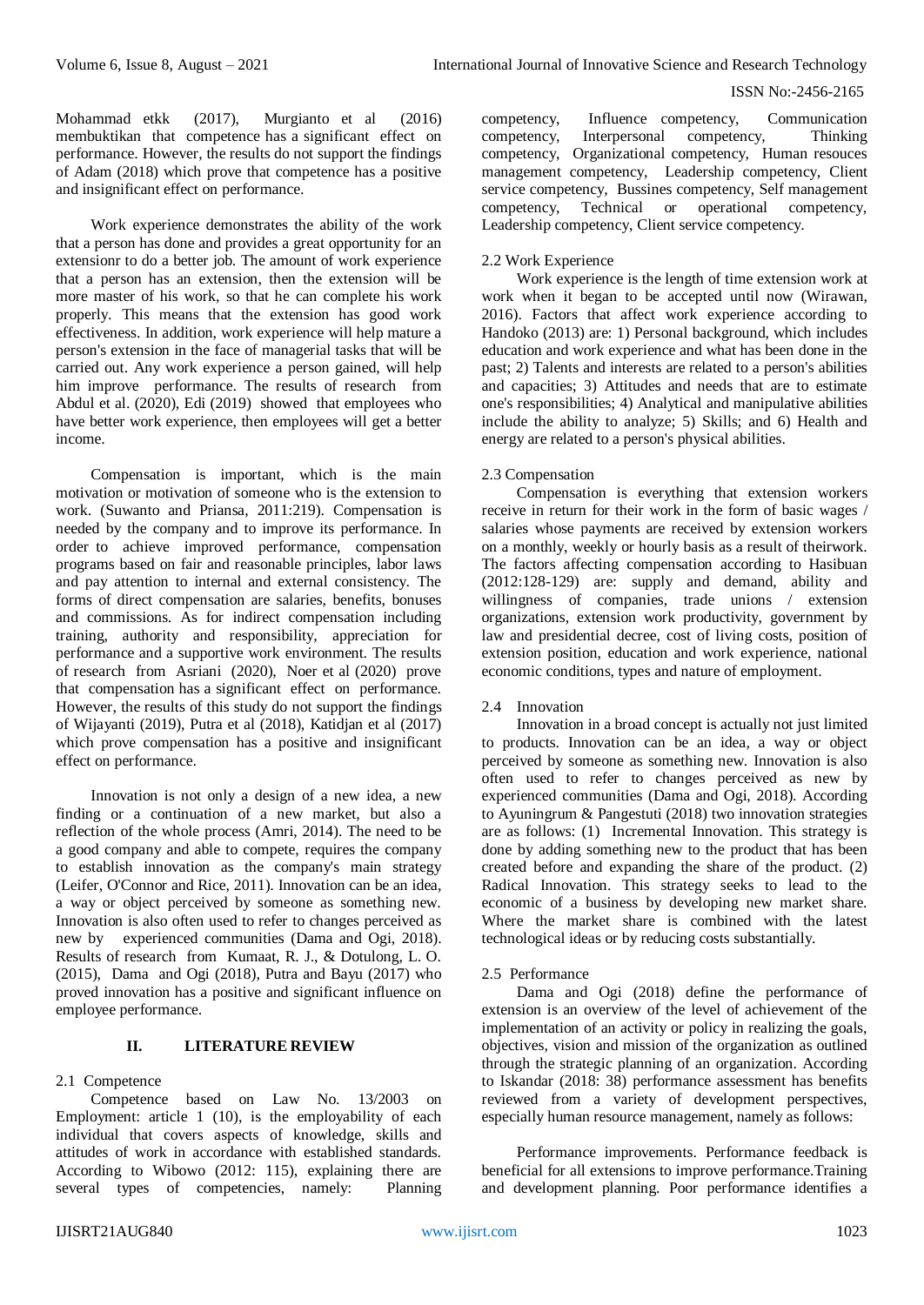Mohammad etkk (2017), Murgianto et al (2016) membuktikan that competence has a significant effect on performance. However, the results do not support the findings of Adam (2018) which prove that competence has a positive and insignificant effect on performance.

Work experience demonstrates the ability of the work that a person has done and provides a great opportunity for an extensionr to do a better job. The amount of work experience that a person has an extension, then the extension will be more master of his work, so that he can complete his work properly. This means that the extension has good work effectiveness. In addition, work experience will help mature a person's extension in the face of managerial tasks that will be carried out. Any work experience a person gained, will help him improve performance. The results of research from Abdul et al. (2020), Edi (2019) showed that employees who have better work experience, then employees will get a better income.

Compensation is important, which is the main motivation or motivation of someone who is the extension to work. (Suwanto and Priansa, 2011:219). Compensation is needed by the company and to improve its performance. In order to achieve improved performance, compensation programs based on fair and reasonable principles, labor laws and pay attention to internal and external consistency. The forms of direct compensation are salaries, benefits, bonuses and commissions. As for indirect compensation including training, authority and responsibility, appreciation for performance and a supportive work environment. The results of research from Asriani (2020), Noer et al (2020) prove that compensation has a significant effect on performance. However, the results of this study do not support the findings of Wijayanti (2019), Putra et al (2018), Katidjan et al (2017) which prove compensation has a positive and insignificant effect on performance.

Innovation is not only a design of a new idea, a new finding or a continuation of a new market, but also a reflection of the whole process (Amri, 2014). The need to be a good company and able to compete, requires the company to establish innovation as the company's main strategy (Leifer, O'Connor and Rice, 2011). Innovation can be an idea, a way or object perceived by someone as something new. Innovation is also often used to refer to changes perceived as new by experienced communities (Dama and Ogi, 2018). Results of research from Kumaat, R. J., & Dotulong, L. O. (2015), Dama and Ogi (2018), Putra and Bayu (2017) who proved innovation has a positive and significant influence on employee performance.

# **II. LITERATURE REVIEW**

#### 2.1 Competence

Competence based on Law No. 13/2003 on Employment: article 1 (10), is the employability of each individual that covers aspects of knowledge, skills and attitudes of work in accordance with established standards. According to Wibowo (2012: 115), explaining there are several types of competencies, namely: Planning competency, Influence competency, Communication competency, Interpersonal competency, Thinking competency, Organizational competency, Human resouces management competency, Leadership competency, Client service competency, Bussines competency, Self management competency, Technical or operational competency, Leadership competency, Client service competency.

#### 2.2 Work Experience

Work experience is the length of time extension work at work when it began to be accepted until now (Wirawan, 2016). Factors that affect work experience according to Handoko (2013) are: 1) Personal background, which includes education and work experience and what has been done in the past; 2) Talents and interests are related to a person's abilities and capacities; 3) Attitudes and needs that are to estimate one's responsibilities; 4) Analytical and manipulative abilities include the ability to analyze; 5) Skills; and 6) Health and energy are related to a person's physical abilities.

#### 2.3 Compensation

Compensation is everything that extension workers receive in return for their work in the form of basic wages / salaries whose payments are received by extension workers on a monthly, weekly or hourly basis as a result of theirwork. The factors affecting compensation according to Hasibuan (2012:128-129) are: supply and demand, ability and willingness of companies, trade unions / extension organizations, extension work productivity, government by law and presidential decree, cost of living costs, position of extension position, education and work experience, national economic conditions, types and nature of employment.

#### 2.4 Innovation

Innovation in a broad concept is actually not just limited to products. Innovation can be an idea, a way or object perceived by someone as something new. Innovation is also often used to refer to changes perceived as new by experienced communities (Dama and Ogi, 2018). According to Ayuningrum & Pangestuti (2018) two innovation strategies are as follows: (1) Incremental Innovation. This strategy is done by adding something new to the product that has been created before and expanding the share of the product. (2) Radical Innovation. This strategy seeks to lead to the economic of a business by developing new market share. Where the market share is combined with the latest technological ideas or by reducing costs substantially.

#### 2.5 Performance

Dama and Ogi (2018) define the performance of extension is an overview of the level of achievement of the implementation of an activity or policy in realizing the goals, objectives, vision and mission of the organization as outlined through the strategic planning of an organization. According to Iskandar (2018: 38) performance assessment has benefits reviewed from a variety of development perspectives, especially human resource management, namely as follows:

Performance improvements. Performance feedback is beneficial for all extensions to improve performance.Training and development planning. Poor performance identifies a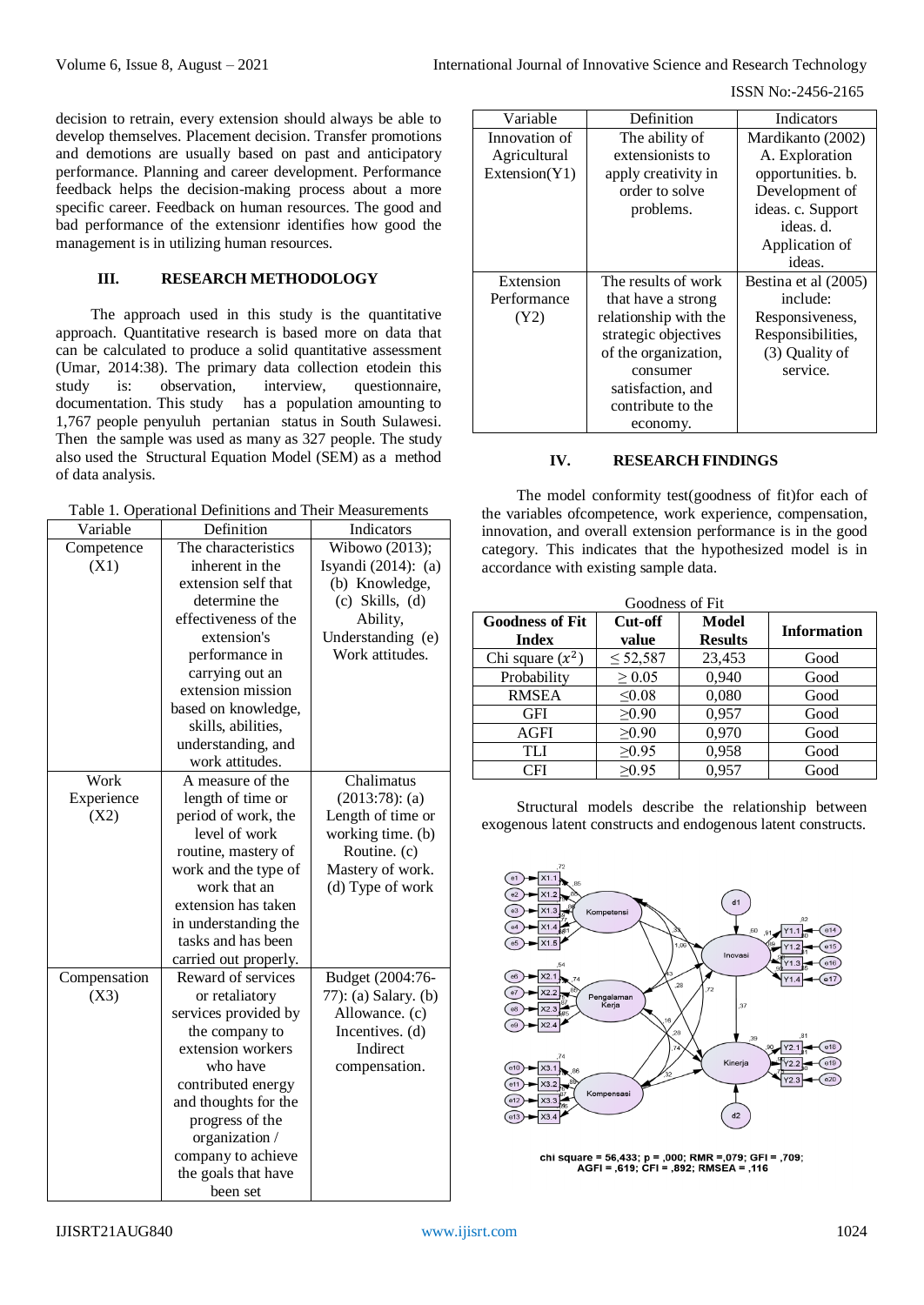ISSN No:-2456-2165

decision to retrain, every extension should always be able to develop themselves. Placement decision. Transfer promotions and demotions are usually based on past and anticipatory performance. Planning and career development. Performance feedback helps the decision-making process about a more specific career. Feedback on human resources. The good and bad performance of the extensionr identifies how good the management is in utilizing human resources.

# **III. RESEARCH METHODOLOGY**

The approach used in this study is the quantitative approach. Quantitative research is based more on data that can be calculated to produce a solid quantitative assessment (Umar, 2014:38). The primary data collection etodein this study is: observation, interview, questionnaire, documentation. This study has a population amounting to 1,767 people penyuluh pertanian status in South Sulawesi. Then the sample was used as many as 327 people. The study also used the Structural Equation Model (SEM) as a method of data analysis.

Table 1. Operational Definitions and Their Measurements

| Variable     | Definition            | Indicators           |  |
|--------------|-----------------------|----------------------|--|
| Competence   | The characteristics   | Wibowo (2013);       |  |
| (X1)         | inherent in the       | Isyandi (2014): (a)  |  |
|              | extension self that   | (b) Knowledge,       |  |
|              | determine the         | $(c)$ Skills, $(d)$  |  |
|              | effectiveness of the  | Ability,             |  |
|              | extension's           | Understanding (e)    |  |
|              | performance in        | Work attitudes.      |  |
|              | carrying out an       |                      |  |
|              | extension mission     |                      |  |
|              | based on knowledge,   |                      |  |
|              | skills, abilities,    |                      |  |
|              | understanding, and    |                      |  |
|              | work attitudes.       |                      |  |
| Work         | A measure of the      | Chalimatus           |  |
| Experience   | length of time or     | $(2013:78)$ : (a)    |  |
| (X2)         | period of work, the   | Length of time or    |  |
|              | level of work         | working time. (b)    |  |
|              | routine, mastery of   | Routine. (c)         |  |
|              | work and the type of  | Mastery of work.     |  |
|              | work that an          | (d) Type of work     |  |
|              | extension has taken   |                      |  |
|              | in understanding the  |                      |  |
|              | tasks and has been    |                      |  |
|              | carried out properly. |                      |  |
| Compensation | Reward of services    | Budget (2004:76-     |  |
| (X3)         | or retaliatory        | 77): (a) Salary. (b) |  |
|              | services provided by  | Allowance. (c)       |  |
|              | the company to        | Incentives. (d)      |  |
|              | extension workers     | Indirect             |  |
|              | who have              | compensation.        |  |
|              | contributed energy    |                      |  |
|              | and thoughts for the  |                      |  |
|              | progress of the       |                      |  |
|              | organization /        |                      |  |
|              | company to achieve    |                      |  |
|              | the goals that have   |                      |  |
|              | been set              |                      |  |

| Variable      | Definition            | Indicators           |  |
|---------------|-----------------------|----------------------|--|
| Innovation of | The ability of        | Mardikanto (2002)    |  |
| Agricultural  | extensionists to      | A. Exploration       |  |
| Extension(Y1) | apply creativity in   | opportunities. b.    |  |
|               | order to solve        | Development of       |  |
|               | problems.             | ideas. c. Support    |  |
|               |                       | ideas. d.            |  |
|               |                       | Application of       |  |
|               |                       | ideas.               |  |
| Extension     | The results of work   | Bestina et al (2005) |  |
| Performance   | that have a strong    | include:             |  |
| (Y2)          | relationship with the | Responsiveness,      |  |
|               | strategic objectives  | Responsibilities,    |  |
|               | of the organization,  | (3) Quality of       |  |
|               | consumer              | service.             |  |
|               | satisfaction, and     |                      |  |
|               | contribute to the     |                      |  |
|               | economy.              |                      |  |

# **IV. RESEARCH FINDINGS**

The model conformity test(goodness of fit)for each of the variables ofcompetence, work experience, compensation, innovation, and overall extension performance is in the good category. This indicates that the hypothesized model is in accordance with existing sample data.

| Goodness of Fit        |               |                |                    |  |
|------------------------|---------------|----------------|--------------------|--|
| <b>Goodness of Fit</b> | Cut-off       | <b>Model</b>   | <b>Information</b> |  |
| <b>Index</b>           | value         | <b>Results</b> |                    |  |
| Chi square $(x^2)$     | $\leq 52,587$ | 23,453         | Good               |  |
| Probability            | $\geq 0.05$   | 0,940          | Good               |  |
| <b>RMSEA</b>           | $\leq 0.08$   | 0,080          | Good               |  |
| GFI                    | $\geq 0.90$   | 0,957          | Good               |  |
| AGFI                   | $\geq 0.90$   | 0,970          | Good               |  |
| TLI                    | $\geq 0.95$   | 0,958          | Good               |  |
| CFI                    | $\geq 0.95$   | 0,957          | Good               |  |

Structural models describe the relationship between exogenous latent constructs and endogenous latent constructs.



chi square = 56,433; p = ,000; RMR = ,079; GFI = ,709;<br>AGFI = ,619; CFI = ,892; RMSEA = ,116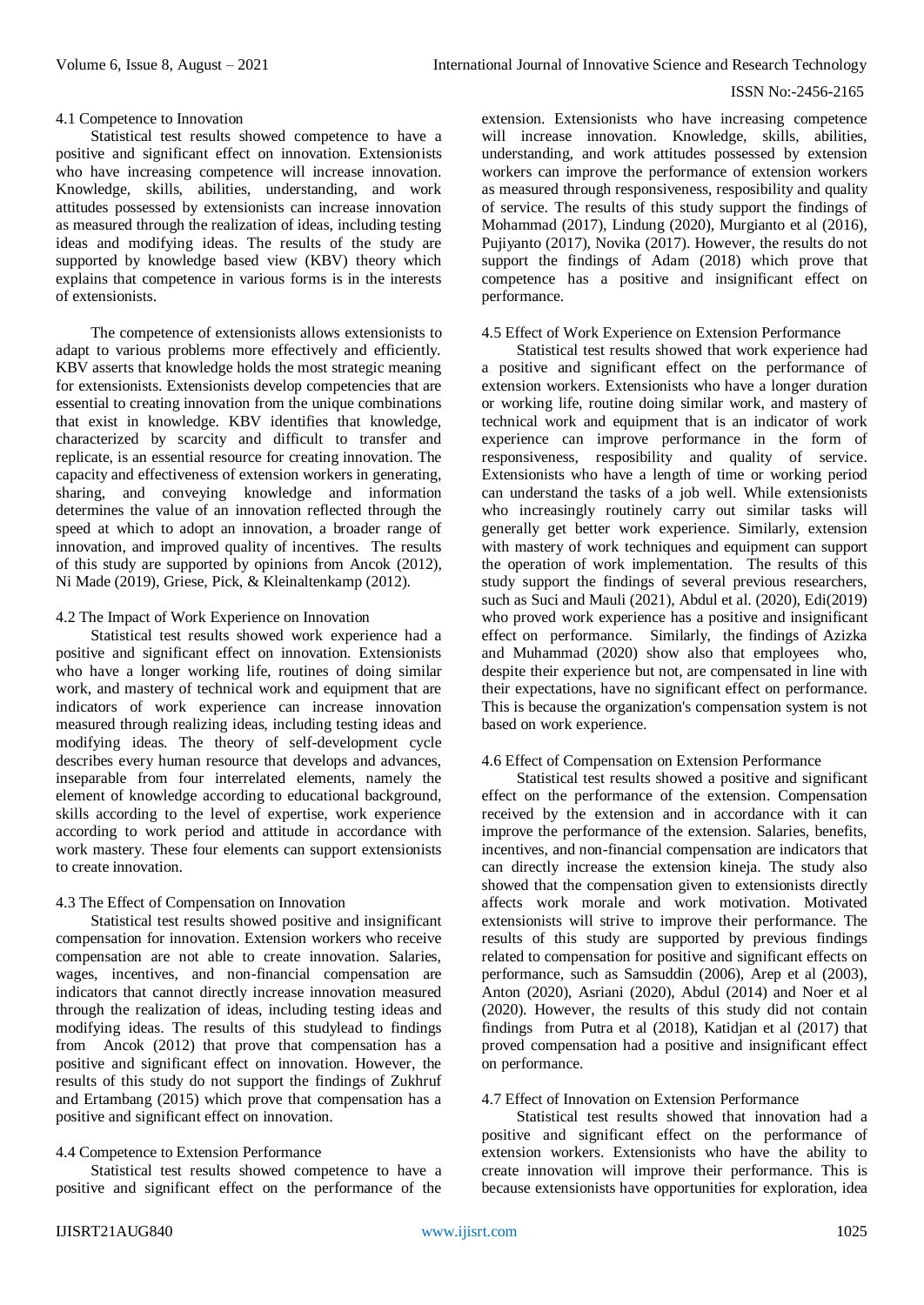#### 4.1 Competence to Innovation

Statistical test results showed competence to have a positive and significant effect on innovation. Extensionists who have increasing competence will increase innovation. Knowledge, skills, abilities, understanding, and work attitudes possessed by extensionists can increase innovation as measured through the realization of ideas, including testing ideas and modifying ideas. The results of the study are supported by knowledge based view (KBV) theory which explains that competence in various forms is in the interests of extensionists.

The competence of extensionists allows extensionists to adapt to various problems more effectively and efficiently. KBV asserts that knowledge holds the most strategic meaning for extensionists. Extensionists develop competencies that are essential to creating innovation from the unique combinations that exist in knowledge. KBV identifies that knowledge, characterized by scarcity and difficult to transfer and replicate, is an essential resource for creating innovation. The capacity and effectiveness of extension workers in generating, sharing, and conveying knowledge and information determines the value of an innovation reflected through the speed at which to adopt an innovation, a broader range of innovation, and improved quality of incentives. The results of this study are supported by opinions from Ancok (2012), Ni Made (2019), Griese, Pick, & Kleinaltenkamp (2012).

### 4.2 The Impact of Work Experience on Innovation

Statistical test results showed work experience had a positive and significant effect on innovation. Extensionists who have a longer working life, routines of doing similar work, and mastery of technical work and equipment that are indicators of work experience can increase innovation measured through realizing ideas, including testing ideas and modifying ideas. The theory of self-development cycle describes every human resource that develops and advances, inseparable from four interrelated elements, namely the element of knowledge according to educational background, skills according to the level of expertise, work experience according to work period and attitude in accordance with work mastery. These four elements can support extensionists to create innovation.

# 4.3 The Effect of Compensation on Innovation

Statistical test results showed positive and insignificant compensation for innovation. Extension workers who receive compensation are not able to create innovation. Salaries, wages, incentives, and non-financial compensation are indicators that cannot directly increase innovation measured through the realization of ideas, including testing ideas and modifying ideas. The results of this studylead to findings from Ancok (2012) that prove that compensation has a positive and significant effect on innovation. However, the results of this study do not support the findings of Zukhruf and Ertambang (2015) which prove that compensation has a positive and significant effect on innovation.

# 4.4 Competence to Extension Performance

Statistical test results showed competence to have a positive and significant effect on the performance of the extension. Extensionists who have increasing competence will increase innovation. Knowledge, skills, abilities, understanding, and work attitudes possessed by extension workers can improve the performance of extension workers as measured through responsiveness, resposibility and quality of service. The results of this study support the findings of Mohammad (2017), Lindung (2020), Murgianto et al (2016), Pujiyanto (2017), Novika (2017). However, the results do not support the findings of Adam (2018) which prove that competence has a positive and insignificant effect on performance.

#### 4.5 Effect of Work Experience on Extension Performance

Statistical test results showed that work experience had a positive and significant effect on the performance of extension workers. Extensionists who have a longer duration or working life, routine doing similar work, and mastery of technical work and equipment that is an indicator of work experience can improve performance in the form of responsiveness, resposibility and quality of service. Extensionists who have a length of time or working period can understand the tasks of a job well. While extensionists who increasingly routinely carry out similar tasks will generally get better work experience. Similarly, extension with mastery of work techniques and equipment can support the operation of work implementation. The results of this study support the findings of several previous researchers, such as Suci and Mauli (2021), Abdul et al. (2020), Edi(2019) who proved work experience has a positive and insignificant effect on performance. Similarly, the findings of Azizka and Muhammad (2020) show also that employees who, despite their experience but not, are compensated in line with their expectations, have no significant effect on performance. This is because the organization's compensation system is not based on work experience.

#### 4.6 Effect of Compensation on Extension Performance

Statistical test results showed a positive and significant effect on the performance of the extension. Compensation received by the extension and in accordance with it can improve the performance of the extension. Salaries, benefits, incentives, and non-financial compensation are indicators that can directly increase the extension kineja. The study also showed that the compensation given to extensionists directly affects work morale and work motivation. Motivated extensionists will strive to improve their performance. The results of this study are supported by previous findings related to compensation for positive and significant effects on performance, such as Samsuddin (2006), Arep et al (2003), Anton (2020), Asriani (2020), Abdul (2014) and Noer et al (2020). However, the results of this study did not contain findings from Putra et al (2018), Katidjan et al (2017) that proved compensation had a positive and insignificant effect on performance.

#### 4.7 Effect of Innovation on Extension Performance

Statistical test results showed that innovation had a positive and significant effect on the performance of extension workers. Extensionists who have the ability to create innovation will improve their performance. This is because extensionists have opportunities for exploration, idea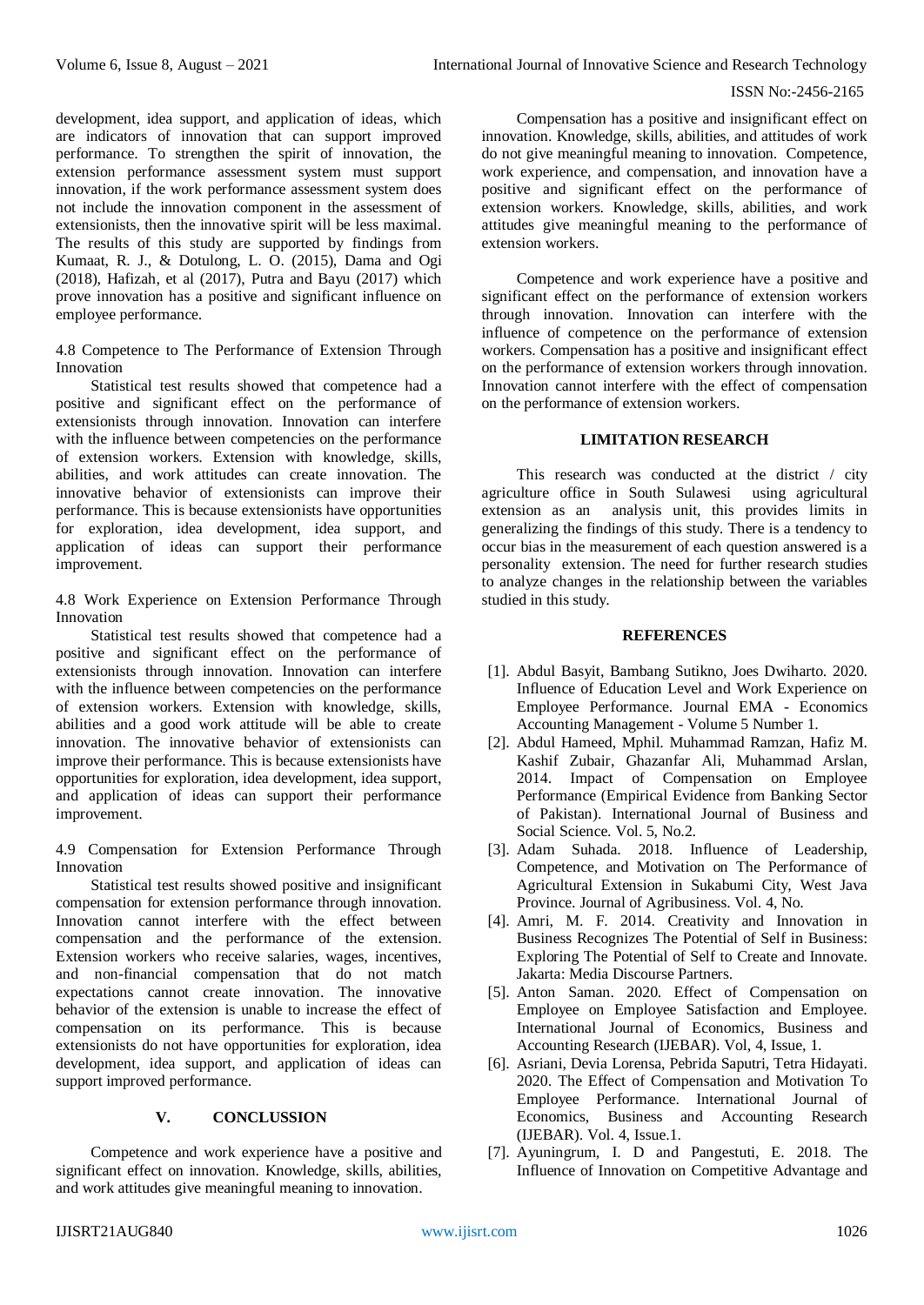development, idea support, and application of ideas, which are indicators of innovation that can support improved performance. To strengthen the spirit of innovation, the extension performance assessment system must support innovation, if the work performance assessment system does not include the innovation component in the assessment of extensionists, then the innovative spirit will be less maximal. The results of this study are supported by findings from Kumaat, R. J., & Dotulong, L. O. (2015), Dama and Ogi (2018), Hafizah, et al (2017), Putra and Bayu (2017) which prove innovation has a positive and significant influence on employee performance.

4.8 Competence to The Performance of Extension Through Innovation

Statistical test results showed that competence had a positive and significant effect on the performance of extensionists through innovation. Innovation can interfere with the influence between competencies on the performance of extension workers. Extension with knowledge, skills, abilities, and work attitudes can create innovation. The innovative behavior of extensionists can improve their performance. This is because extensionists have opportunities for exploration, idea development, idea support, and application of ideas can support their performance improvement.

4.8 Work Experience on Extension Performance Through Innovation

Statistical test results showed that competence had a positive and significant effect on the performance of extensionists through innovation. Innovation can interfere with the influence between competencies on the performance of extension workers. Extension with knowledge, skills, abilities and a good work attitude will be able to create innovation. The innovative behavior of extensionists can improve their performance. This is because extensionists have opportunities for exploration, idea development, idea support, and application of ideas can support their performance improvement.

4.9 Compensation for Extension Performance Through Innovation

Statistical test results showed positive and insignificant compensation for extension performance through innovation. Innovation cannot interfere with the effect between compensation and the performance of the extension. Extension workers who receive salaries, wages, incentives, and non-financial compensation that do not match expectations cannot create innovation. The innovative behavior of the extension is unable to increase the effect of compensation on its performance. This is because extensionists do not have opportunities for exploration, idea development, idea support, and application of ideas can support improved performance.

# **V. CONCLUSSION**

Competence and work experience have a positive and significant effect on innovation. Knowledge, skills, abilities, and work attitudes give meaningful meaning to innovation.

Compensation has a positive and insignificant effect on innovation. Knowledge, skills, abilities, and attitudes of work do not give meaningful meaning to innovation. Competence, work experience, and compensation, and innovation have a positive and significant effect on the performance of extension workers. Knowledge, skills, abilities, and work attitudes give meaningful meaning to the performance of extension workers.

Competence and work experience have a positive and significant effect on the performance of extension workers through innovation. Innovation can interfere with the influence of competence on the performance of extension workers. Compensation has a positive and insignificant effect on the performance of extension workers through innovation. Innovation cannot interfere with the effect of compensation on the performance of extension workers.

#### **LIMITATION RESEARCH**

This research was conducted at the district / city agriculture office in South Sulawesi using agricultural extension as an analysis unit, this provides limits in generalizing the findings of this study. There is a tendency to occur bias in the measurement of each question answered is a personality extension. The need for further research studies to analyze changes in the relationship between the variables studied in this study.

#### **REFERENCES**

- [1]. Abdul Basyit, Bambang Sutikno, Joes Dwiharto. 2020. Influence of Education Level and Work Experience on Employee Performance. Journal EMA - Economics Accounting Management - Volume 5 Number 1.
- [2]. Abdul Hameed, Mphil. Muhammad Ramzan, Hafiz M. Kashif Zubair, Ghazanfar Ali, Muhammad Arslan, 2014. Impact of Compensation on Employee Performance (Empirical Evidence from Banking Sector of Pakistan). International Journal of Business and Social Science. Vol. 5, No.2.
- [3]. Adam Suhada. 2018. Influence of Leadership, Competence, and Motivation on The Performance of Agricultural Extension in Sukabumi City, West Java Province. Journal of Agribusiness. Vol. 4, No.
- [4]. Amri, M. F. 2014. Creativity and Innovation in Business Recognizes The Potential of Self in Business: Exploring The Potential of Self to Create and Innovate. Jakarta: Media Discourse Partners.
- [5]. Anton Saman. 2020. Effect of Compensation on Employee on Employee Satisfaction and Employee. International Journal of Economics, Business and Accounting Research (IJEBAR). Vol, 4, Issue, 1.
- [6]. Asriani, Devia Lorensa, Pebrida Saputri, Tetra Hidayati. 2020. The Effect of Compensation and Motivation To Employee Performance. International Journal of Economics, Business and Accounting Research (IJEBAR). Vol. 4, Issue.1.
- [7]. Ayuningrum, I. D and Pangestuti, E. 2018. The Influence of Innovation on Competitive Advantage and